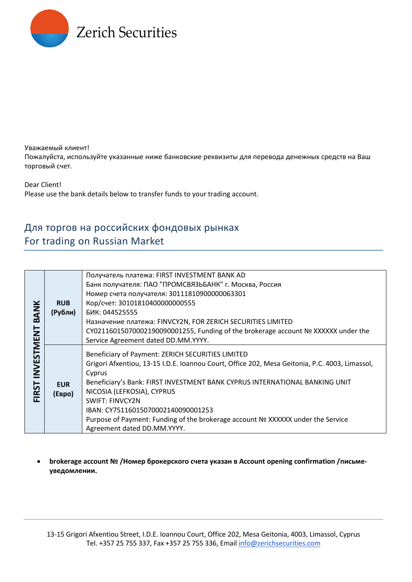

Уважаемый клиент! Пожалуйста, используйте указанные ниже банковские реквизиты для перевода денежных средств на Ваш торговый счет.

Dear Client! Please use the bank details below to transfer funds to your trading account.

## Для торгов на российских фондовых рынках For trading on Russian Market

| <b>BANK</b><br>INVESTMENT<br><b>FIRST</b> | <b>RUB</b><br>(Рубли) | Получатель платежа: FIRST INVESTMENT BANK AD                                                                                                                                                                                                                                                                                                                                                                                                                  |
|-------------------------------------------|-----------------------|---------------------------------------------------------------------------------------------------------------------------------------------------------------------------------------------------------------------------------------------------------------------------------------------------------------------------------------------------------------------------------------------------------------------------------------------------------------|
|                                           |                       | Банк получателя: ПАО "ПРОМСВЯЗЬБАНК" г. Москва, Россия                                                                                                                                                                                                                                                                                                                                                                                                        |
|                                           |                       | Номер счета получателя: 30111810900000063301                                                                                                                                                                                                                                                                                                                                                                                                                  |
|                                           |                       | Кор/счет: 30101810400000000555                                                                                                                                                                                                                                                                                                                                                                                                                                |
|                                           |                       | <b>БИК: 044525555</b>                                                                                                                                                                                                                                                                                                                                                                                                                                         |
|                                           |                       | Назначение платежа: FINVCY2N, FOR ZERICH SECURITIES LIMITED                                                                                                                                                                                                                                                                                                                                                                                                   |
|                                           |                       | CY02116015070002190090001255, Funding of the brokerage account Nº XXXXXX under the                                                                                                                                                                                                                                                                                                                                                                            |
|                                           |                       | Service Agreement dated DD.MM.YYYY.                                                                                                                                                                                                                                                                                                                                                                                                                           |
|                                           | <b>EUR</b><br>(EBPO)  | Beneficiary of Payment: ZERICH SECURITIES LIMITED<br>Grigori Afxentiou, 13-15 I.D.E. Ioannou Court, Office 202, Mesa Geitonia, P.C. 4003, Limassol,<br>Cyprus<br>Beneficiary's Bank: FIRST INVESTMENT BANK CYPRUS INTERNATIONAL BANKING UNIT<br>NICOSIA (LEFKOSIA), CYPRUS<br><b>SWIFT: FINVCY2N</b><br>IBAN: CY75116015070002140090001253<br>Purpose of Payment: Funding of the brokerage account Nº XXXXXX under the Service<br>Agreement dated DD.MM.YYYY. |

• **brokerage account № /Номер брокерского счета указан в Account opening confirmation /письмеуведомлении.**

13-15 Grigori Afxentiou Street, I.D.E. Ioannou Court, Office 202, Mesa Geitonia, 4003, Limassol, Cyprus Tel. +357 25 755 337, Fax +357 25 755 336, Email [info@zerichsecurities.com](mailto:info@zerichsecurities.com)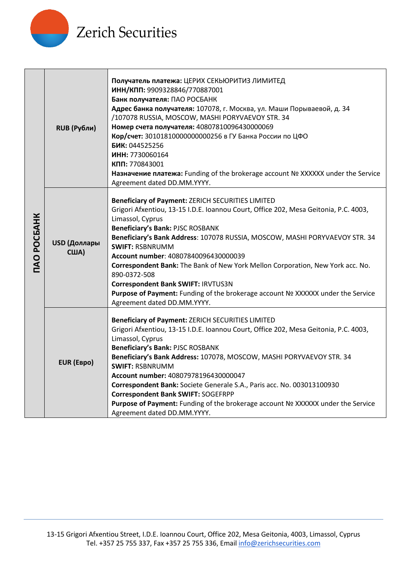

| <b>TAO POCEAHK</b> | RUB (Рубли)                 | Получатель платежа: ЦЕРИХ СЕКЬЮРИТИЗ ЛИМИТЕД<br>ИНН/КПП: 9909328846/770887001<br>Банк получателя: ПАО РОСБАНК<br>Адрес банка получателя: 107078, г. Москва, ул. Маши Порываевой, д. 34<br>/107078 RUSSIA, MOSCOW, MASHI PORYVAEVOY STR. 34<br>Номер счета получателя: 40807810096430000069<br>Кор/счет: 30101810000000000256 в ГУ Банка России по ЦФО<br>БИК: 044525256<br>ИНН: 7730060164<br>КПП: 770843001<br>Haзначение платежа: Funding of the brokerage account Nº XXXXXX under the Service<br>Agreement dated DD.MM.YYYY.                                                                                      |
|--------------------|-----------------------------|----------------------------------------------------------------------------------------------------------------------------------------------------------------------------------------------------------------------------------------------------------------------------------------------------------------------------------------------------------------------------------------------------------------------------------------------------------------------------------------------------------------------------------------------------------------------------------------------------------------------|
|                    | USD (Доллары<br><b>США)</b> | Beneficiary of Payment: ZERICH SECURITIES LIMITED<br>Grigori Afxentiou, 13-15 I.D.E. Ioannou Court, Office 202, Mesa Geitonia, P.C. 4003,<br>Limassol, Cyprus<br><b>Beneficiary's Bank: PJSC ROSBANK</b><br>Beneficiary's Bank Address: 107078 RUSSIA, MOSCOW, MASHI PORYVAEVOY STR. 34<br><b>SWIFT: RSBNRUMM</b><br>Account number: 40807840096430000039<br>Correspondent Bank: The Bank of New York Mellon Corporation, New York acc. No.<br>890-0372-508<br>Correspondent Bank SWIFT: IRVTUS3N<br>Purpose of Payment: Funding of the brokerage account Nº XXXXXX under the Service<br>Agreement dated DD.MM.YYYY. |
|                    | EUR (EBpo)                  | Beneficiary of Payment: ZERICH SECURITIES LIMITED<br>Grigori Afxentiou, 13-15 I.D.E. Ioannou Court, Office 202, Mesa Geitonia, P.C. 4003,<br>Limassol, Cyprus<br><b>Beneficiary's Bank: PJSC ROSBANK</b><br>Beneficiary's Bank Address: 107078, MOSCOW, MASHI PORYVAEVOY STR. 34<br><b>SWIFT: RSBNRUMM</b><br>Account number: 40807978196430000047<br>Correspondent Bank: Societe Generale S.A., Paris acc. No. 003013100930<br><b>Correspondent Bank SWIFT: SOGEFRPP</b><br>Purpose of Payment: Funding of the brokerage account Nº XXXXXX under the Service<br>Agreement dated DD.MM.YYYY.                         |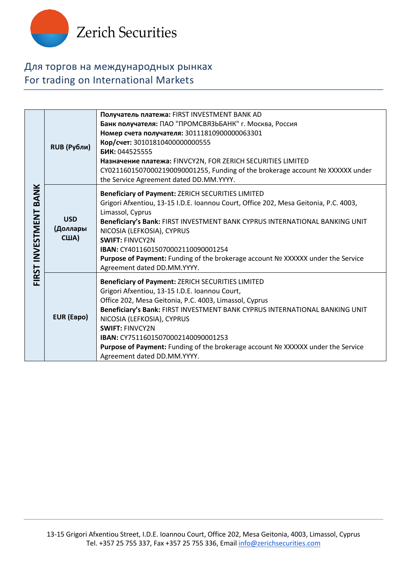

## Для торгов на международных рынках For trading on International Markets

| FIRST INVESTMENT BANK | RUB (Рубли)                           | Получатель платежа: FIRST INVESTMENT BANK AD<br>Банк получателя: ПАО "ПРОМСВЯЗЬБАНК" г. Москва, Россия<br>Номер счета получателя: 30111810900000063301<br>Кор/счет: 30101810400000000555<br>БИК: 044525555<br>Назначение платежа: FINVCY2N, FOR ZERICH SECURITIES LIMITED<br>CY02116015070002190090001255, Funding of the brokerage account Nº XXXXXX under<br>the Service Agreement dated DD.MM.YYYY.                                                               |
|-----------------------|---------------------------------------|----------------------------------------------------------------------------------------------------------------------------------------------------------------------------------------------------------------------------------------------------------------------------------------------------------------------------------------------------------------------------------------------------------------------------------------------------------------------|
|                       | <b>USD</b><br>(Доллары<br><b>США)</b> | Beneficiary of Payment: ZERICH SECURITIES LIMITED<br>Grigori Afxentiou, 13-15 I.D.E. Ioannou Court, Office 202, Mesa Geitonia, P.C. 4003,<br>Limassol, Cyprus<br>Beneficiary's Bank: FIRST INVESTMENT BANK CYPRUS INTERNATIONAL BANKING UNIT<br>NICOSIA (LEFKOSIA), CYPRUS<br><b>SWIFT: FINVCY2N</b><br>IBAN: CY40116015070002110090001254<br>Purpose of Payment: Funding of the brokerage account Nº XXXXXX under the Service<br>Agreement dated DD.MM.YYYY.        |
|                       | EUR (EBpo)                            | Beneficiary of Payment: ZERICH SECURITIES LIMITED<br>Grigori Afxentiou, 13-15 I.D.E. Ioannou Court,<br>Office 202, Mesa Geitonia, P.C. 4003, Limassol, Cyprus<br>Beneficiary's Bank: FIRST INVESTMENT BANK CYPRUS INTERNATIONAL BANKING UNIT<br>NICOSIA (LEFKOSIA), CYPRUS<br><b>SWIFT: FINVCY2N</b><br><b>IBAN: CY75116015070002140090001253</b><br>Purpose of Payment: Funding of the brokerage account Nº XXXXXX under the Service<br>Agreement dated DD.MM.YYYY. |